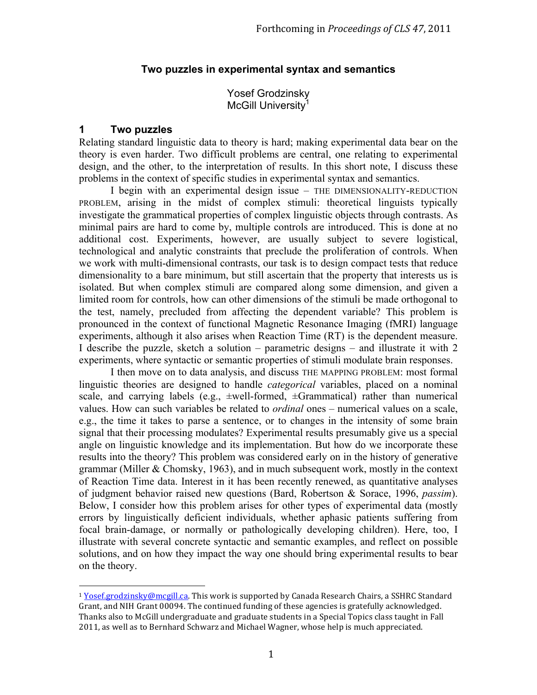# **Two puzzles in experimental syntax and semantics**

Yosef Grodzinsky McGill University<sup>1</sup>

# **1 Two puzzles**

 

Relating standard linguistic data to theory is hard; making experimental data bear on the theory is even harder. Two difficult problems are central, one relating to experimental design, and the other, to the interpretation of results. In this short note, I discuss these problems in the context of specific studies in experimental syntax and semantics.

I begin with an experimental design issue – THE DIMENSIONALITY-REDUCTION PROBLEM, arising in the midst of complex stimuli: theoretical linguists typically investigate the grammatical properties of complex linguistic objects through contrasts. As minimal pairs are hard to come by, multiple controls are introduced. This is done at no additional cost. Experiments, however, are usually subject to severe logistical, technological and analytic constraints that preclude the proliferation of controls. When we work with multi-dimensional contrasts, our task is to design compact tests that reduce dimensionality to a bare minimum, but still ascertain that the property that interests us is isolated. But when complex stimuli are compared along some dimension, and given a limited room for controls, how can other dimensions of the stimuli be made orthogonal to the test, namely, precluded from affecting the dependent variable? This problem is pronounced in the context of functional Magnetic Resonance Imaging (fMRI) language experiments, although it also arises when Reaction Time (RT) is the dependent measure. I describe the puzzle, sketch a solution – parametric designs – and illustrate it with 2 experiments, where syntactic or semantic properties of stimuli modulate brain responses.

I then move on to data analysis, and discuss THE MAPPING PROBLEM: most formal linguistic theories are designed to handle *categorical* variables, placed on a nominal scale, and carrying labels (e.g.,  $\pm$ well-formed,  $\pm$ Grammatical) rather than numerical values. How can such variables be related to *ordinal* ones – numerical values on a scale, e.g., the time it takes to parse a sentence, or to changes in the intensity of some brain signal that their processing modulates? Experimental results presumably give us a special angle on linguistic knowledge and its implementation. But how do we incorporate these results into the theory? This problem was considered early on in the history of generative grammar (Miller & Chomsky, 1963), and in much subsequent work, mostly in the context of Reaction Time data. Interest in it has been recently renewed, as quantitative analyses of judgment behavior raised new questions (Bard, Robertson & Sorace, 1996, *passim*). Below, I consider how this problem arises for other types of experimental data (mostly errors by linguistically deficient individuals, whether aphasic patients suffering from focal brain-damage, or normally or pathologically developing children). Here, too, I illustrate with several concrete syntactic and semantic examples, and reflect on possible solutions, and on how they impact the way one should bring experimental results to bear on the theory.

<sup>&</sup>lt;sup>1</sup> Yosef.grodzinsky@mcgill.ca. This work is supported by Canada Research Chairs, a SSHRC Standard Grant, and NIH Grant 00094. The continued funding of these agencies is gratefully acknowledged. Thanks also to McGill undergraduate and graduate students in a Special Topics class taught in Fall 2011, as well as to Bernhard Schwarz and Michael Wagner, whose help is much appreciated.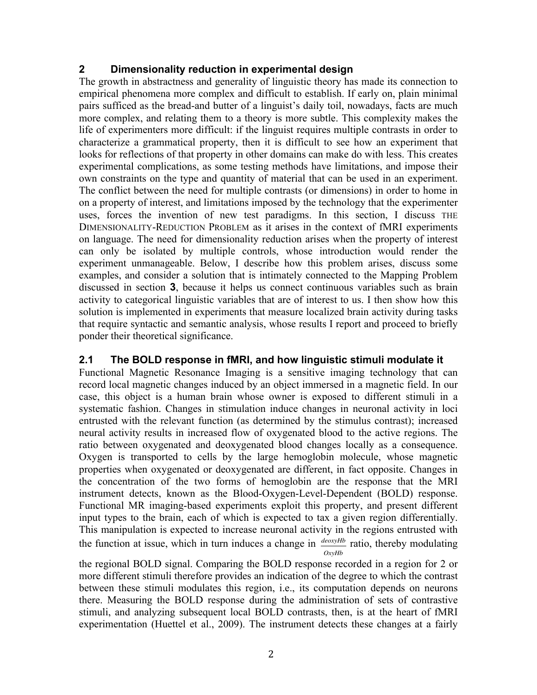## **2 Dimensionality reduction in experimental design**

The growth in abstractness and generality of linguistic theory has made its connection to empirical phenomena more complex and difficult to establish. If early on, plain minimal pairs sufficed as the bread-and butter of a linguist's daily toil, nowadays, facts are much more complex, and relating them to a theory is more subtle. This complexity makes the life of experimenters more difficult: if the linguist requires multiple contrasts in order to characterize a grammatical property, then it is difficult to see how an experiment that looks for reflections of that property in other domains can make do with less. This creates experimental complications, as some testing methods have limitations, and impose their own constraints on the type and quantity of material that can be used in an experiment. The conflict between the need for multiple contrasts (or dimensions) in order to home in on a property of interest, and limitations imposed by the technology that the experimenter uses, forces the invention of new test paradigms. In this section, I discuss THE DIMENSIONALITY-REDUCTION PROBLEM as it arises in the context of fMRI experiments on language. The need for dimensionality reduction arises when the property of interest can only be isolated by multiple controls, whose introduction would render the experiment unmanageable. Below, I describe how this problem arises, discuss some examples, and consider a solution that is intimately connected to the Mapping Problem discussed in section **3**, because it helps us connect continuous variables such as brain activity to categorical linguistic variables that are of interest to us. I then show how this solution is implemented in experiments that measure localized brain activity during tasks that require syntactic and semantic analysis, whose results I report and proceed to briefly ponder their theoretical significance.

# **2.1 The BOLD response in fMRI, and how linguistic stimuli modulate it**

Functional Magnetic Resonance Imaging is a sensitive imaging technology that can record local magnetic changes induced by an object immersed in a magnetic field. In our case, this object is a human brain whose owner is exposed to different stimuli in a systematic fashion. Changes in stimulation induce changes in neuronal activity in loci entrusted with the relevant function (as determined by the stimulus contrast); increased neural activity results in increased flow of oxygenated blood to the active regions. The ratio between oxygenated and deoxygenated blood changes locally as a consequence. Oxygen is transported to cells by the large hemoglobin molecule, whose magnetic properties when oxygenated or deoxygenated are different, in fact opposite. Changes in the concentration of the two forms of hemoglobin are the response that the MRI instrument detects, known as the Blood-Oxygen-Level-Dependent (BOLD) response. Functional MR imaging-based experiments exploit this property, and present different input types to the brain, each of which is expected to tax a given region differentially. This manipulation is expected to increase neuronal activity in the regions entrusted with the function at issue, which in turn induces a change in *deoxyHb* ratio, thereby modulating *OxyHb*

between these stimuli modulates this region, i.e., its computation depends on neurons the regional BOLD signal. Comparing the BOLD response recorded in a region for 2 or more different stimuli therefore provides an indication of the degree to which the contrast there. Measuring the BOLD response during the administration of sets of contrastive stimuli, and analyzing subsequent local BOLD contrasts, then, is at the heart of fMRI experimentation (Huettel et al., 2009). The instrument detects these changes at a fairly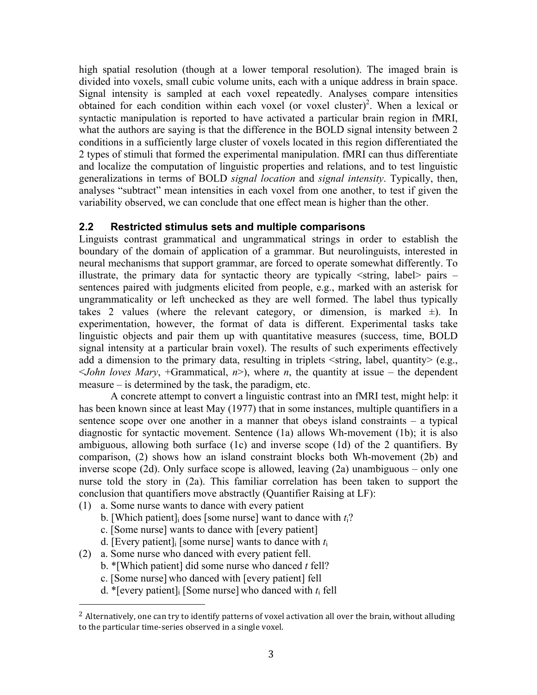high spatial resolution (though at a lower temporal resolution). The imaged brain is divided into voxels, small cubic volume units, each with a unique address in brain space. Signal intensity is sampled at each voxel repeatedly. Analyses compare intensities obtained for each condition within each voxel (or voxel cluster) 2 . When a lexical or syntactic manipulation is reported to have activated a particular brain region in fMRI, what the authors are saying is that the difference in the BOLD signal intensity between 2 conditions in a sufficiently large cluster of voxels located in this region differentiated the 2 types of stimuli that formed the experimental manipulation. fMRI can thus differentiate and localize the computation of linguistic properties and relations, and to test linguistic generalizations in terms of BOLD *signal location* and *signal intensity*. Typically, then, analyses "subtract" mean intensities in each voxel from one another, to test if given the variability observed, we can conclude that one effect mean is higher than the other.

## **2.2 Restricted stimulus sets and multiple comparisons**

Linguists contrast grammatical and ungrammatical strings in order to establish the boundary of the domain of application of a grammar. But neurolinguists, interested in neural mechanisms that support grammar, are forced to operate somewhat differently. To illustrate, the primary data for syntactic theory are typically  $\le$ string, label $>$  pairs – sentences paired with judgments elicited from people, e.g., marked with an asterisk for ungrammaticality or left unchecked as they are well formed. The label thus typically takes 2 values (where the relevant category, or dimension, is marked  $\pm$ ). In experimentation, however, the format of data is different. Experimental tasks take linguistic objects and pair them up with quantitative measures (success, time, BOLD signal intensity at a particular brain voxel). The results of such experiments effectively add a dimension to the primary data, resulting in triplets  $\leq$ string, label, quantity $\geq$  (e.g.,  $\le$ *John loves Mary*, +Grammatical, *n* $>$ ), where *n*, the quantity at issue – the dependent measure – is determined by the task, the paradigm, etc.

A concrete attempt to convert a linguistic contrast into an fMRI test, might help: it has been known since at least May (1977) that in some instances, multiple quantifiers in a sentence scope over one another in a manner that obeys island constraints – a typical diagnostic for syntactic movement. Sentence (1a) allows Wh-movement (1b); it is also ambiguous, allowing both surface (1c) and inverse scope (1d) of the 2 quantifiers. By comparison, (2) shows how an island constraint blocks both Wh-movement (2b) and inverse scope (2d). Only surface scope is allowed, leaving (2a) unambiguous – only one nurse told the story in (2a). This familiar correlation has been taken to support the conclusion that quantifiers move abstractly (Quantifier Raising at LF):

- (1) a. Some nurse wants to dance with every patient
	- b. [Which patient]i does [some nurse] want to dance with *t*i?
	- c. [Some nurse] wants to dance with [every patient]
	- d. [Every patient]i [some nurse] wants to dance with *t*<sup>i</sup>
- (2) a. Some nurse who danced with every patient fell.

- b. \*[Which patient] did some nurse who danced *t* fell?
- c. [Some nurse] who danced with [every patient] fell
- d. \*[every patient]i [Some nurse] who danced with *t*i fell

<sup>&</sup>lt;sup>2</sup> Alternatively, one can try to identify patterns of voxel activation all over the brain, without alluding to the particular time-series observed in a single voxel.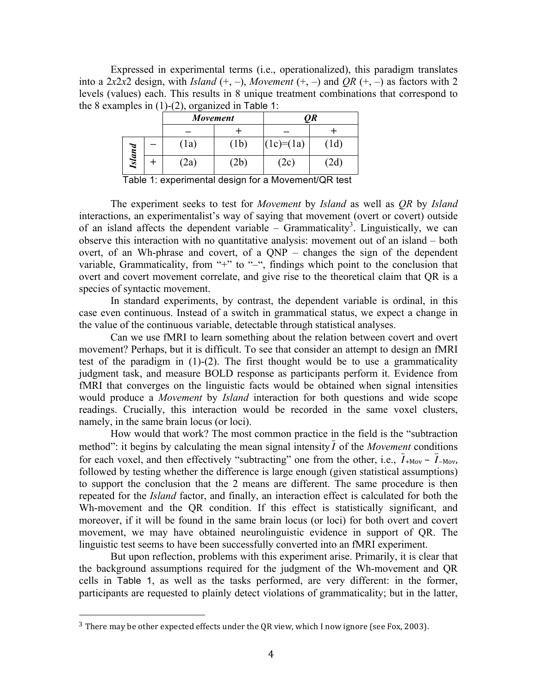Expressed in experimental terms (i.e., operationalized), this paradigm translates into a 2*x*2*x*2 design, with *Island*  $(+, -)$ , *Movement*  $(+, -)$  and *QR*  $(+, -)$  as factors with 2 levels (values) each. This results in 8 unique treatment combinations that correspond to the 8 examples in  $(1)-(2)$ , organized in Table 1:

| $\sim$        | Movement          |      | QR          |     |
|---------------|-------------------|------|-------------|-----|
|               |                   |      |             |     |
|               | $\left(1a\right)$ | (1b) | $(1c)=(1a)$ | 1d) |
| <b>Island</b> | 2a)               | 2b)  | 2c)         | 2ď  |

Table 1: experimental design for a Movement/QR test

The experiment seeks to test for *Movement* by *Island* as well as *QR* by *Island* interactions, an experimentalist's way of saying that movement (overt or covert) outside of an island affects the dependent variable – Grammaticality<sup>3</sup>. Linguistically, we can observe this interaction with no quantitative analysis: movement out of an island – both overt, of an Wh-phrase and covert, of a QNP – changes the sign of the dependent variable, Grammaticality, from "+" to "-", findings which point to the conclusion that overt and covert movement correlate, and give rise to the theoretical claim that QR is a species of syntactic movement.

In standard experiments, by contrast, the dependent variable is ordinal, in this case even continuous. Instead of a switch in grammatical status, we expect a change in the value of the continuous variable, detectable through statistical analyses.

Can we use fMRI to learn something about the relation between covert and overt movement? Perhaps, but it is difficult. To see that consider an attempt to design an fMRI test of the paradigm in (1)-(2). The first thought would be to use a grammaticality judgment task, and measure BOLD response as participants perform it. Evidence from fMRI that converges on the linguistic facts would be obtained when signal intensities would produce a *Movement* by *Island* interaction for both questions and wide scope readings. Crucially, this interaction would be recorded in the same voxel clusters, namely, in the same brain locus (or loci).

How would that work? The most common practice in the field is the "subtraction method": it begins by calculating the mean signal intensity *I* of the *Movement* conditions repeated for the *Island* factor, and finally, an interaction effect is calculated for both the for each voxel, and then effectively "subtracting" one from the other, i.e.,  $I_{+Mov} - I_{-Mov}$ , Wh-movement and the QR condition. If this effect is statistically significant, and followed by testing whether the difference is large enough (given statistical assumptions) to support the conclusion that the 2 means are different. The same procedure is then moreover, if it will be found in the same brain locus (or loci) for both overt and covert movement, we may have obtained neurolinguistic evidence in support of QR. The linguistic test seems to have been successfully converted into an fMRI experiment.

But upon reflection, problems with this experiment arise. Primarily, it is clear that the background assumptions required for the judgment of the Wh-movement and QR cells in Table 1, as well as the tasks performed, are very different: in the former, participants are requested to plainly detect violations of grammaticality; but in the latter,

<sup>&</sup>lt;sup>3</sup> There may be other expected effects under the OR view, which I now ignore (see Fox, 2003).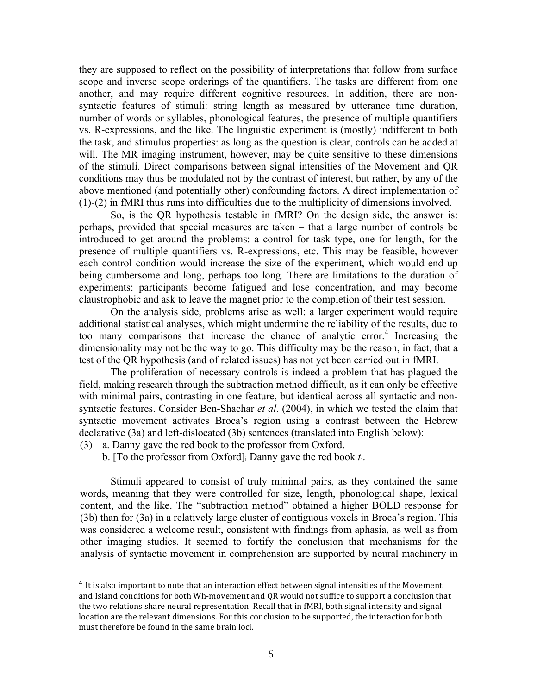they are supposed to reflect on the possibility of interpretations that follow from surface scope and inverse scope orderings of the quantifiers. The tasks are different from one another, and may require different cognitive resources. In addition, there are nonsyntactic features of stimuli: string length as measured by utterance time duration, number of words or syllables, phonological features, the presence of multiple quantifiers vs. R-expressions, and the like. The linguistic experiment is (mostly) indifferent to both the task, and stimulus properties: as long as the question is clear, controls can be added at will. The MR imaging instrument, however, may be quite sensitive to these dimensions of the stimuli. Direct comparisons between signal intensities of the Movement and QR conditions may thus be modulated not by the contrast of interest, but rather, by any of the above mentioned (and potentially other) confounding factors. A direct implementation of (1)-(2) in fMRI thus runs into difficulties due to the multiplicity of dimensions involved.

So, is the QR hypothesis testable in fMRI? On the design side, the answer is: perhaps, provided that special measures are taken – that a large number of controls be introduced to get around the problems: a control for task type, one for length, for the presence of multiple quantifiers vs. R-expressions, etc. This may be feasible, however each control condition would increase the size of the experiment, which would end up being cumbersome and long, perhaps too long. There are limitations to the duration of experiments: participants become fatigued and lose concentration, and may become claustrophobic and ask to leave the magnet prior to the completion of their test session.

On the analysis side, problems arise as well: a larger experiment would require additional statistical analyses, which might undermine the reliability of the results, due to too many comparisons that increase the chance of analytic error. <sup>4</sup> Increasing the dimensionality may not be the way to go. This difficulty may be the reason, in fact, that a test of the QR hypothesis (and of related issues) has not yet been carried out in fMRI.

The proliferation of necessary controls is indeed a problem that has plagued the field, making research through the subtraction method difficult, as it can only be effective with minimal pairs, contrasting in one feature, but identical across all syntactic and nonsyntactic features. Consider Ben-Shachar *et al*. (2004), in which we tested the claim that syntactic movement activates Broca's region using a contrast between the Hebrew declarative (3a) and left-dislocated (3b) sentences (translated into English below):

(3) a. Danny gave the red book to the professor from Oxford.

 

b. [To the professor from Oxford]i Danny gave the red book *t*i.

Stimuli appeared to consist of truly minimal pairs, as they contained the same words, meaning that they were controlled for size, length, phonological shape, lexical content, and the like. The "subtraction method" obtained a higher BOLD response for (3b) than for (3a) in a relatively large cluster of contiguous voxels in Broca's region. This was considered a welcome result, consistent with findings from aphasia, as well as from other imaging studies. It seemed to fortify the conclusion that mechanisms for the analysis of syntactic movement in comprehension are supported by neural machinery in

 $4$  It is also important to note that an interaction effect between signal intensities of the Movement and Island conditions for both Wh-movement and QR would not suffice to support a conclusion that the two relations share neural representation. Recall that in fMRI, both signal intensity and signal location are the relevant dimensions. For this conclusion to be supported, the interaction for both must therefore be found in the same brain loci.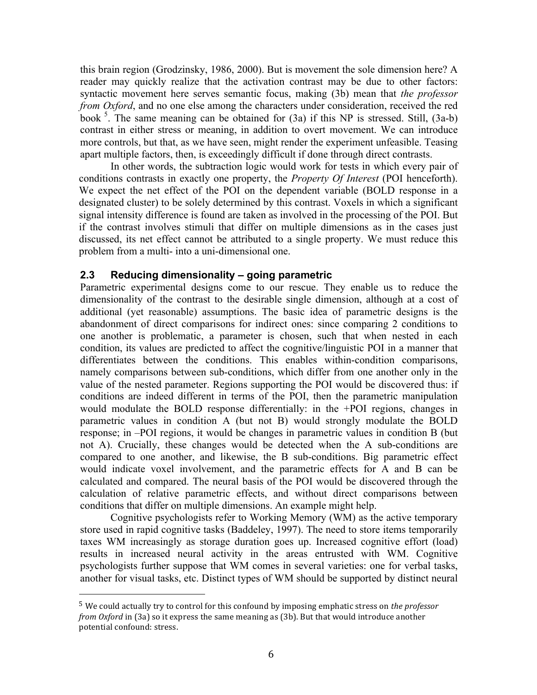this brain region (Grodzinsky, 1986, 2000). But is movement the sole dimension here? A reader may quickly realize that the activation contrast may be due to other factors: syntactic movement here serves semantic focus, making (3b) mean that *the professor from Oxford*, and no one else among the characters under consideration, received the red book<sup>5</sup>. The same meaning can be obtained for (3a) if this NP is stressed. Still, (3a-b) contrast in either stress or meaning, in addition to overt movement. We can introduce more controls, but that, as we have seen, might render the experiment unfeasible. Teasing apart multiple factors, then, is exceedingly difficult if done through direct contrasts.

In other words, the subtraction logic would work for tests in which every pair of conditions contrasts in exactly one property, the *Property Of Interest* (POI henceforth). We expect the net effect of the POI on the dependent variable (BOLD response in a designated cluster) to be solely determined by this contrast. Voxels in which a significant signal intensity difference is found are taken as involved in the processing of the POI. But if the contrast involves stimuli that differ on multiple dimensions as in the cases just discussed, its net effect cannot be attributed to a single property. We must reduce this problem from a multi- into a uni-dimensional one.

#### **2.3 Reducing dimensionality – going parametric**

Parametric experimental designs come to our rescue. They enable us to reduce the dimensionality of the contrast to the desirable single dimension, although at a cost of additional (yet reasonable) assumptions. The basic idea of parametric designs is the abandonment of direct comparisons for indirect ones: since comparing 2 conditions to one another is problematic, a parameter is chosen, such that when nested in each condition, its values are predicted to affect the cognitive/linguistic POI in a manner that differentiates between the conditions. This enables within-condition comparisons, namely comparisons between sub-conditions, which differ from one another only in the value of the nested parameter. Regions supporting the POI would be discovered thus: if conditions are indeed different in terms of the POI, then the parametric manipulation would modulate the BOLD response differentially: in the +POI regions, changes in parametric values in condition A (but not B) would strongly modulate the BOLD response; in –POI regions, it would be changes in parametric values in condition B (but not A). Crucially, these changes would be detected when the A sub-conditions are compared to one another, and likewise, the B sub-conditions. Big parametric effect would indicate voxel involvement, and the parametric effects for A and B can be calculated and compared. The neural basis of the POI would be discovered through the calculation of relative parametric effects, and without direct comparisons between conditions that differ on multiple dimensions. An example might help.

Cognitive psychologists refer to Working Memory (WM) as the active temporary store used in rapid cognitive tasks (Baddeley, 1997). The need to store items temporarily taxes WM increasingly as storage duration goes up. Increased cognitive effort (load) results in increased neural activity in the areas entrusted with WM. Cognitive psychologists further suppose that WM comes in several varieties: one for verbal tasks, another for visual tasks, etc. Distinct types of WM should be supported by distinct neural

<sup>&</sup>lt;sup>5</sup> We could actually try to control for this confound by imposing emphatic stress on *the professor from Oxford* in (3a) so it express the same meaning as (3b). But that would introduce another potential confound: stress.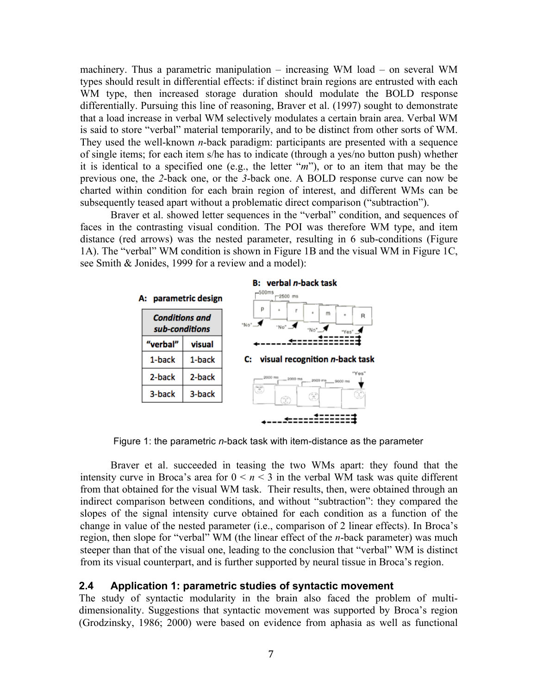machinery. Thus a parametric manipulation – increasing WM load – on several WM types should result in differential effects: if distinct brain regions are entrusted with each WM type, then increased storage duration should modulate the BOLD response differentially. Pursuing this line of reasoning, Braver et al. (1997) sought to demonstrate that a load increase in verbal WM selectively modulates a certain brain area. Verbal WM is said to store "verbal" material temporarily, and to be distinct from other sorts of WM. They used the well-known *n*-back paradigm: participants are presented with a sequence of single items; for each item s/he has to indicate (through a yes/no button push) whether it is identical to a specified one (e.g., the letter "*m*"), or to an item that may be the previous one, the *2*-back one, or the *3*-back one. A BOLD response curve can now be charted within condition for each brain region of interest, and different WMs can be subsequently teased apart without a problematic direct comparison ("subtraction").

Braver et al. showed letter sequences in the "verbal" condition, and sequences of faces in the contrasting visual condition. The POI was therefore WM type, and item distance (red arrows) was the nested parameter, resulting in 6 sub-conditions (Figure 1A). The "verbal" WM condition is shown in Figure 1B and the visual WM in Figure 1C, see Smith & Jonides, 1999 for a review and a model):



Figure 1: the parametric *n*-back task with item-distance as the parameter

Braver et al. succeeded in teasing the two WMs apart: they found that the intensity curve in Broca's area for  $0 \le n \le 3$  in the verbal WM task was quite different from that obtained for the visual WM task. Their results, then, were obtained through an indirect comparison between conditions, and without "subtraction": they compared the slopes of the signal intensity curve obtained for each condition as a function of the change in value of the nested parameter (i.e., comparison of 2 linear effects). In Broca's region, then slope for "verbal" WM (the linear effect of the *n*-back parameter) was much steeper than that of the visual one, leading to the conclusion that "verbal" WM is distinct from its visual counterpart, and is further supported by neural tissue in Broca's region.

#### **2.4 Application 1: parametric studies of syntactic movement**

The study of syntactic modularity in the brain also faced the problem of multidimensionality. Suggestions that syntactic movement was supported by Broca's region (Grodzinsky, 1986; 2000) were based on evidence from aphasia as well as functional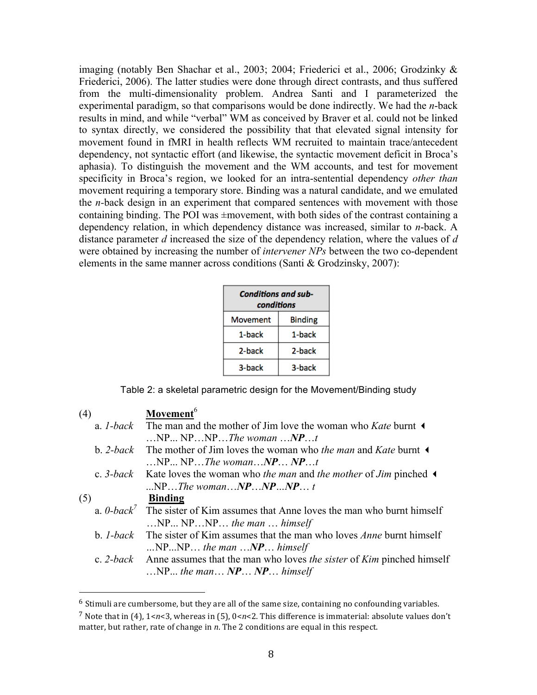imaging (notably Ben Shachar et al., 2003; 2004; Friederici et al., 2006; Grodzinky & Friederici, 2006). The latter studies were done through direct contrasts, and thus suffered from the multi-dimensionality problem. Andrea Santi and I parameterized the experimental paradigm, so that comparisons would be done indirectly. We had the *n*-back results in mind, and while "verbal" WM as conceived by Braver et al. could not be linked to syntax directly, we considered the possibility that that elevated signal intensity for movement found in fMRI in health reflects WM recruited to maintain trace/antecedent dependency, not syntactic effort (and likewise, the syntactic movement deficit in Broca's aphasia). To distinguish the movement and the WM accounts, and test for movement specificity in Broca's region, we looked for an intra-sentential dependency *other than*  movement requiring a temporary store. Binding was a natural candidate, and we emulated the *n-*back design in an experiment that compared sentences with movement with those containing binding. The POI was  $\pm$ movement, with both sides of the contrast containing a dependency relation, in which dependency distance was increased, similar to *n*-back. A distance parameter *d* increased the size of the dependency relation, where the values of *d* were obtained by increasing the number of *intervener NPs* between the two co-dependent elements in the same manner across conditions (Santi & Grodzinsky, 2007):

| <b>Conditions and sub-</b><br>conditions |                |  |
|------------------------------------------|----------------|--|
| <b>Movement</b>                          | <b>Binding</b> |  |
| 1-back                                   | 1-back         |  |
| 2-back                                   | 2-back         |  |
| 3-back                                   | 3-back         |  |

Table 2: a skeletal parametric design for the Movement/Binding study

| (4) | Movement <sup>6</sup>                                                                                           |
|-----|-----------------------------------------------------------------------------------------------------------------|
|     | a. <i>l</i> -back The man and the mother of Jim love the woman who Kate burnt $\triangleleft$                   |
|     | NPNPNPThe womanNPt                                                                                              |
|     | b. 2-back The mother of Jim loves the woman who the man and Kate burnt $\triangleleft$                          |
|     | $\ldots$ NP $\ldots$ NP $\ldots$ The woman $\ldots$ NP $\ldots$ NP $\ldots$ t                                   |
|     | c. 3-back Kate loves the woman who the man and the mother of Jim pinched $\triangleleft$                        |
|     | $NP The womanNPNPNPP$                                                                                           |
| (5) | <b>Binding</b>                                                                                                  |
|     | a. $0$ -back <sup><math>\prime</math></sup> The sister of Kim assumes that Anne loves the man who burnt himself |
|     | $NPNPNP$ the man $$ himself                                                                                     |
|     | b. <i>1-back</i> The sister of Kim assumes that the man who loves <i>Anne</i> burnt himself                     |
|     | $NPNP$ the man $NP$ himself                                                                                     |
|     | c. 2-back Anne assumes that the man who loves the sister of Kim pinched himself                                 |
|     | $NP$ the man $NP$ $NP$ himself                                                                                  |

 $6$  Stimuli are cumbersome, but they are all of the same size, containing no confounding variables.

<sup>&</sup>lt;sup>7</sup> Note that in (4), 1<*n*<3, whereas in (5),  $0 < n < 2$ . This difference is immaterial: absolute values don't matter, but rather, rate of change in *n*. The 2 conditions are equal in this respect.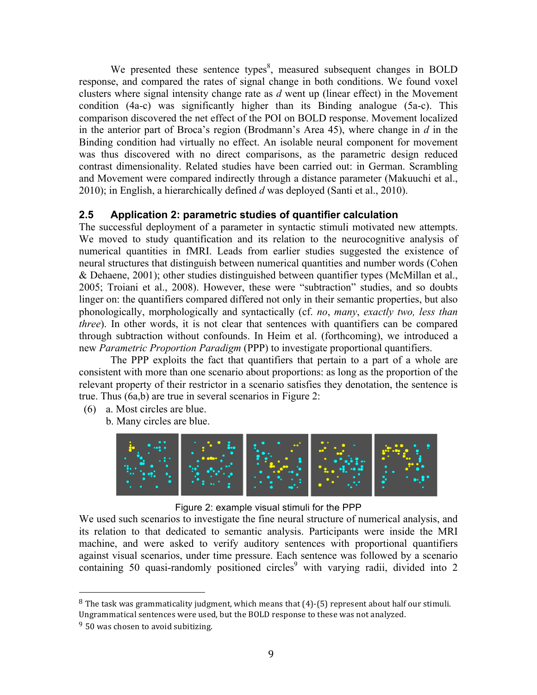We presented these sentence types<sup>8</sup>, measured subsequent changes in BOLD response, and compared the rates of signal change in both conditions. We found voxel clusters where signal intensity change rate as *d* went up (linear effect) in the Movement condition (4a-c) was significantly higher than its Binding analogue (5a-c). This comparison discovered the net effect of the POI on BOLD response. Movement localized in the anterior part of Broca's region (Brodmann's Area 45), where change in *d* in the Binding condition had virtually no effect. An isolable neural component for movement was thus discovered with no direct comparisons, as the parametric design reduced contrast dimensionality. Related studies have been carried out: in German. Scrambling and Movement were compared indirectly through a distance parameter (Makuuchi et al., 2010); in English, a hierarchically defined *d* was deployed (Santi et al., 2010).

# **2.5 Application 2: parametric studies of quantifier calculation**

The successful deployment of a parameter in syntactic stimuli motivated new attempts. We moved to study quantification and its relation to the neurocognitive analysis of numerical quantities in fMRI. Leads from earlier studies suggested the existence of neural structures that distinguish between numerical quantities and number words (Cohen & Dehaene, 2001); other studies distinguished between quantifier types (McMillan et al., 2005; Troiani et al., 2008). However, these were "subtraction" studies, and so doubts linger on: the quantifiers compared differed not only in their semantic properties, but also phonologically, morphologically and syntactically (cf. *no*, *many*, *exactly two, less than three*). In other words, it is not clear that sentences with quantifiers can be compared through subtraction without confounds. In Heim et al. (forthcoming), we introduced a new *Parametric Proportion Paradigm* (PPP) to investigate proportional quantifiers.

The PPP exploits the fact that quantifiers that pertain to a part of a whole are consistent with more than one scenario about proportions: as long as the proportion of the relevant property of their restrictor in a scenario satisfies they denotation, the sentence is true. Thus (6a,b) are true in several scenarios in Figure 2:

- (6) a. Most circles are blue.
	- b. Many circles are blue.



#### Figure 2: example visual stimuli for the PPP

We used such scenarios to investigate the fine neural structure of numerical analysis, and its relation to that dedicated to semantic analysis. Participants were inside the MRI machine, and were asked to verify auditory sentences with proportional quantifiers against visual scenarios, under time pressure. Each sentence was followed by a scenario containing 50 quasi-randomly positioned circles<sup>9</sup> with varying radii, divided into 2

 $8$  The task was grammaticality judgment, which means that  $(4)$ -(5) represent about half our stimuli. Ungrammatical sentences were used, but the BOLD response to these was not analyzed.

 $9\,$  50 was chosen to avoid subitizing.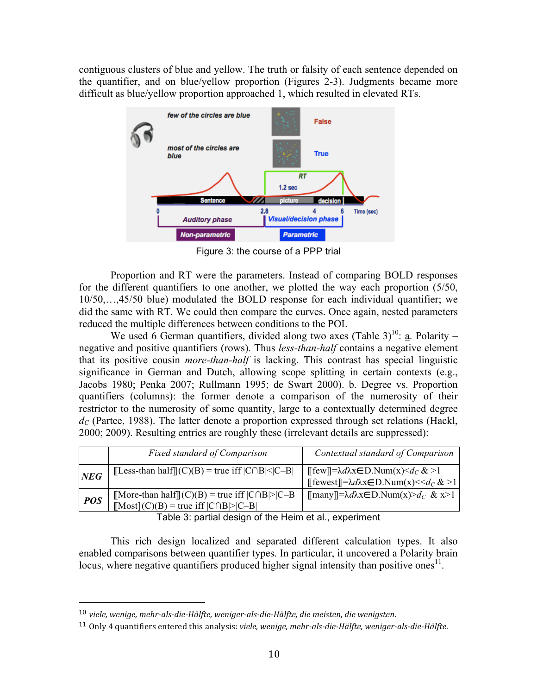contiguous clusters of blue and yellow. The truth or falsity of each sentence depended on the quantifier, and on blue/yellow proportion (Figures 2-3). Judgments became more difficult as blue/yellow proportion approached 1, which resulted in elevated RTs.



Figure 3: the course of a PPP trial

Proportion and RT were the parameters. Instead of comparing BOLD responses for the different quantifiers to one another, we plotted the way each proportion (5/50, 10/50,…,45/50 blue) modulated the BOLD response for each individual quantifier; we did the same with RT. We could then compare the curves. Once again, nested parameters reduced the multiple differences between conditions to the POI.

We used 6 German quantifiers, divided along two axes (Table 3)<sup>10</sup>: a. Polarity – negative and positive quantifiers (rows). Thus *less-than-half* contains a negative element that its positive cousin *more-than-half* is lacking. This contrast has special linguistic significance in German and Dutch, allowing scope splitting in certain contexts (e.g., Jacobs 1980; Penka 2007; Rullmann 1995; de Swart 2000). **b**. Degree vs. Proportion quantifiers (columns): the former denote a comparison of the numerosity of their restrictor to the numerosity of some quantity, large to a contextually determined degree  $d_C$  (Partee, 1988). The latter denote a proportion expressed through set relations (Hackl, 2000; 2009). Resulting entries are roughly these (irrelevant details are suppressed):

|            | <b>Fixed standard of Comparison</b>                                                                                                             | Contextual standard of Comparison                                                                                                                                             |
|------------|-------------------------------------------------------------------------------------------------------------------------------------------------|-------------------------------------------------------------------------------------------------------------------------------------------------------------------------------|
| NEG        | [Less-than half][(C)(B) = true iff $ C \cap B $ < $ C - B $                                                                                     | $\llbracket \text{few} \rrbracket = \lambda d\lambda x \in D$ . Num $(x) \leq d_C \< 1$<br>$\llbracket$ fewest $\llbracket = \lambda d\lambda x \in D$ . Num(x) << $d_C \> 1$ |
| <b>POS</b> | $\llbracket \text{More-than half} \rrbracket(C)(B) = \text{true iff }  C \cap B  >  C - B $<br>$[Most](C)(B)$ = true iff $ C \cap B $ > $ C-B $ | $\llbracket \text{many} \rrbracket = \lambda d\lambda x \in D$ . Num(x)>d <sub>C</sub> & x>1                                                                                  |

Table 3: partial design of the Heim et al., experiment

This rich design localized and separated different calculation types. It also enabled comparisons between quantifier types. In particular, it uncovered a Polarity brain locus, where negative quantifiers produced higher signal intensity than positive ones<sup>11</sup>.

<sup>&</sup>lt;sup>10</sup> viele, wenige, mehr-als-die-Hälfte, weniger-als-die-Hälfte, die meisten, die wenigsten.

<sup>&</sup>lt;sup>11</sup> Only 4 quantifiers entered this analysis: *viele, wenige, mehr-als-die-Hälfte, weniger-als-die-Hälfte.*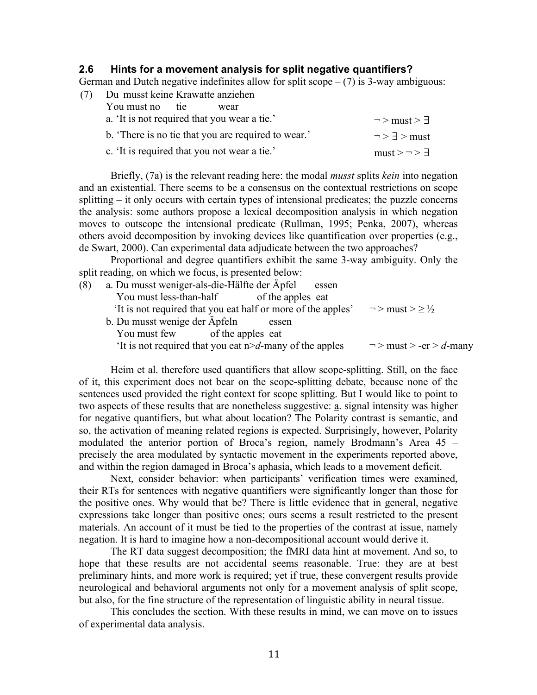#### **2.6 Hints for a movement analysis for split negative quantifiers?**

German and Dutch negative indefinites allow for split  $\text{scope} - (7)$  is 3-way ambiguous:

| (7) | Du musst keine Krawatte anziehen                   |                           |  |  |
|-----|----------------------------------------------------|---------------------------|--|--|
|     | You must no tie<br>wear                            |                           |  |  |
|     | a. 'It is not required that you wear a tie.'       | $\neg$ > must > $\exists$ |  |  |
|     | b. There is no tie that you are required to wear.' | $\neg$ > $\exists$ > must |  |  |
|     | c. 'It is required that you not wear a tie.'       | $must \ge  \ge$ $\exists$ |  |  |

Briefly, (7a) is the relevant reading here: the modal *musst* splits *kein* into negation and an existential. There seems to be a consensus on the contextual restrictions on scope splitting – it only occurs with certain types of intensional predicates; the puzzle concerns the analysis: some authors propose a lexical decomposition analysis in which negation moves to outscope the intensional predicate (Rullman, 1995; Penka, 2007), whereas others avoid decomposition by invoking devices like quantification over properties (e.g., de Swart, 2000). Can experimental data adjudicate between the two approaches?

Proportional and degree quantifiers exhibit the same 3-way ambiguity. Only the split reading, on which we focus, is presented below:

| (8) | a. Du musst weniger-als-die-Hälfte der Äpfel<br>essen        |                              |
|-----|--------------------------------------------------------------|------------------------------|
|     | You must less-than-half<br>of the apples eat                 |                              |
|     | It is not required that you eat half or more of the apples'  | $\neg$ > must > $\geq$ ½     |
|     | b. Du musst wenige der Äpfeln<br>essen                       |                              |
|     | You must few of the apples eat                               |                              |
|     | 'It is not required that you eat $n > d$ -many of the apples | $\neg$ > must > -er > d-many |

Heim et al. therefore used quantifiers that allow scope-splitting. Still, on the face of it, this experiment does not bear on the scope-splitting debate, because none of the sentences used provided the right context for scope splitting. But I would like to point to two aspects of these results that are nonetheless suggestive: a. signal intensity was higher for negative quantifiers, but what about location? The Polarity contrast is semantic, and so, the activation of meaning related regions is expected. Surprisingly, however, Polarity modulated the anterior portion of Broca's region, namely Brodmann's Area 45 – precisely the area modulated by syntactic movement in the experiments reported above, and within the region damaged in Broca's aphasia, which leads to a movement deficit.

Next, consider behavior: when participants' verification times were examined, their RTs for sentences with negative quantifiers were significantly longer than those for the positive ones. Why would that be? There is little evidence that in general, negative expressions take longer than positive ones; ours seems a result restricted to the present materials. An account of it must be tied to the properties of the contrast at issue, namely negation. It is hard to imagine how a non-decompositional account would derive it.

The RT data suggest decomposition; the fMRI data hint at movement. And so, to hope that these results are not accidental seems reasonable. True: they are at best preliminary hints, and more work is required; yet if true, these convergent results provide neurological and behavioral arguments not only for a movement analysis of split scope, but also, for the fine structure of the representation of linguistic ability in neural tissue.

This concludes the section. With these results in mind, we can move on to issues of experimental data analysis.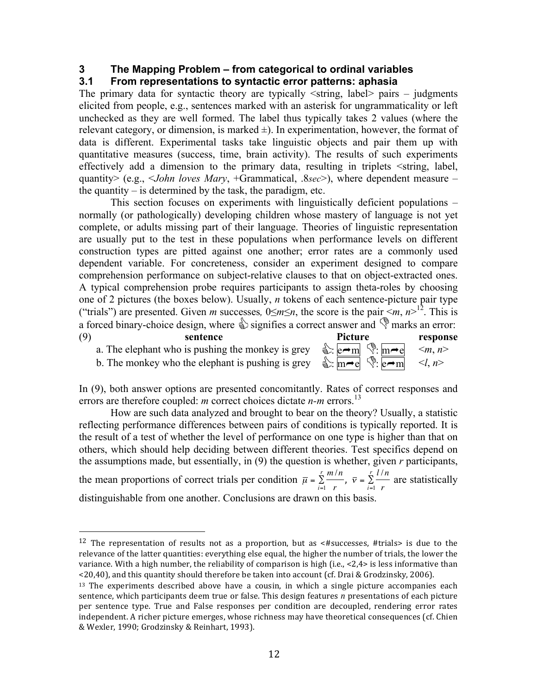#### **3 The Mapping Problem – from categorical to ordinal variables**

# **3.1 From representations to syntactic error patterns: aphasia**

The primary data for syntactic theory are typically  $\le$ string, label $>$  pairs – judgments elicited from people, e.g., sentences marked with an asterisk for ungrammaticality or left unchecked as they are well formed. The label thus typically takes 2 values (where the relevant category, or dimension, is marked  $\pm$ ). In experimentation, however, the format of data is different. Experimental tasks take linguistic objects and pair them up with quantitative measures (success, time, brain activity). The results of such experiments effectively add a dimension to the primary data, resulting in triplets <string, label, quantity> (e.g., <*John loves Mary*, +Grammatical, .8*sec*>), where dependent measure – the quantity  $-$  is determined by the task, the paradigm, etc.

This section focuses on experiments with linguistically deficient populations – normally (or pathologically) developing children whose mastery of language is not yet complete, or adults missing part of their language. Theories of linguistic representation are usually put to the test in these populations when performance levels on different construction types are pitted against one another; error rates are a commonly used dependent variable. For concreteness, consider an experiment designed to compare comprehension performance on subject-relative clauses to that on object-extracted ones. A typical comprehension probe requires participants to assign theta-roles by choosing one of 2 pictures (the boxes below). Usually, *n* tokens of each sentence-picture pair type ("trials") are presented. Given *m* successes,  $0 \le m \le n$ , the score is the pair  $\le m$ ,  $n > 12$ . This is a forced binary-choice design, where  $\mathcal{L}$  signifies a correct answer and  $\mathcal{L}$  marks an error:

(9) **sentence Picture response** a. The elephant who is pushing the monkey is grey b. The monkey who the elephant is pushing is grey

 

| Picture | respons                                                             |                        |
|---------|---------------------------------------------------------------------|------------------------|
|         | $\mathcal{L}$ : e $\rightarrow$ m $\mathcal{L}$ : m $\rightarrow$ e | $\leq m, n \geq$       |
|         | $\frac{1}{2}$ : m e $\frac{1}{2}$ : e m                             | $\langle l, n \rangle$ |

In (9), both answer options are presented concomitantly. Rates of correct responses and errors are therefore coupled: *m* correct choices dictate *n-m* errors.<sup>13</sup>

How are such data analyzed and brought to bear on the theory? Usually, a statistic reflecting performance differences between pairs of conditions is typically reported. It is the result of a test of whether the level of performance on one type is higher than that on others, which should help deciding between different theories. Test specifics depend on the assumptions made, but essentially, in (9) the question is whether, given *r* participants, the mean proportions of correct trials per condition  $\bar{\mu} = \sum_{n=1}^{\infty} \frac{m}{n}$ *i*=1 *r*  $\sum_{i=1}^{r} \frac{m/n}{\overline{v}}$ ,  $\overline{v} = \sum_{i=1}^{r} \frac{l/n}{\overline{v}}$ *<sup>i</sup>*=<sup>1</sup> *r*  $\sum_{n=1}^{\infty}$  are statistically distinguishable from one another. Conclusions are drawn on this basis.

<sup>&</sup>lt;sup>12</sup> The representation of results not as a proportion, but as  $\lt$ #successes, #trials> is due to the relevance of the latter quantities: everything else equal, the higher the number of trials, the lower the variance. With a high number, the reliability of comparison is high (i.e.,  $\langle 2,4\rangle$  is less informative than  $\leq$ 20,40), and this quantity should therefore be taken into account (cf. Drai & Grodzinsky, 2006).

 $13$  The experiments described above have a cousin, in which a single picture accompanies each sentence, which participants deem true or false. This design features *n* presentations of each picture per sentence type. True and False responses per condition are decoupled, rendering error rates independent. A richer picture emerges, whose richness may have theoretical consequences (cf. Chien & Wexler, 1990; Grodzinsky & Reinhart, 1993).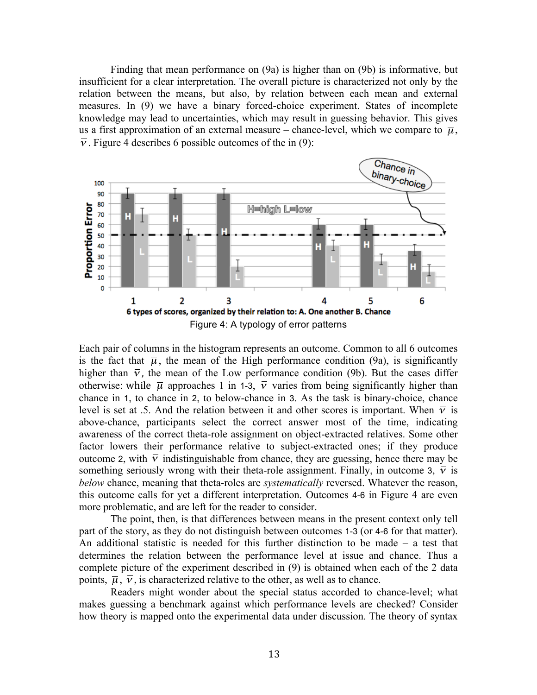Finding that mean performance on (9a) is higher than on (9b) is informative, but insufficient for a clear interpretation. The overall picture is characterized not only by the relation between the means, but also, by relation between each mean and external measures. In (9) we have a binary forced-choice experiment. States of incomplete knowledge may lead to uncertainties, which may result in guessing behavior. This gives us a first approximation of an external measure – chance-level, which we compare to  $\bar{\mu}$ ,  $\overline{v}$ . Figure 4 describes 6 possible outcomes of the in (9):



Each pair of columns in the histogram represents an outcome. Common to all 6 outcomes is the fact that  $\overline{\mu}$ , the mean of the High performance condition (9a), is significantly level is set at .5. And the relation between it and other scores is important. When  $\overline{v}$  is higher than  $\overline{v}$ , the mean of the Low performance condition (9b). But the cases differ above-chance, participants select the correct answer most of the time, indicating otherwise: while  $\bar{\mu}$  approaches 1 in 1-3,  $\bar{v}$  varies from being significantly higher than awareness of the correct theta-role assignment on object-extracted relatives. Some other chance in 1, to chance in 2, to below-chance in 3. As the task is binary-choice, chance outcome 2, with  $\overline{v}$  indistinguishable from chance, they are guessing, hence there may be factor lowers their performance relative to subject-extracted ones; if they produce and batteries can for you a amovement interpretation. Surface something seriously wrong with their theta-role assignment. Finally, in outcome 3,  $\bar{v}$  is *below* chance, meaning that theta-roles are *systematically* reversed. Whatever the reason, this outcome calls for yet a different interpretation. Outcomes 4-6 in Figure 4 are even

The point, then, is that differences between means in the present context only tell part of the story, as they do not distinguish between outcomes 1-3 (or 4-6 for that matter). An additional statistic is needed for this further distinction to be made – a test that determines the relation between the performance level at issue and chance. Thus a complete picture of the experiment described in (9) is obtained when each of the 2 data points,  $\overline{\mu}$ ,  $\overline{\nu}$ , is characterized relative to the other, as well as to chance.

 $\overline{a}$ Readers might wonder about the special status accorded to chance-level; what makes guessing a benchmark against which performance levels are checked? Consider how theory is mapped onto the experimental data under discussion. The theory of syntax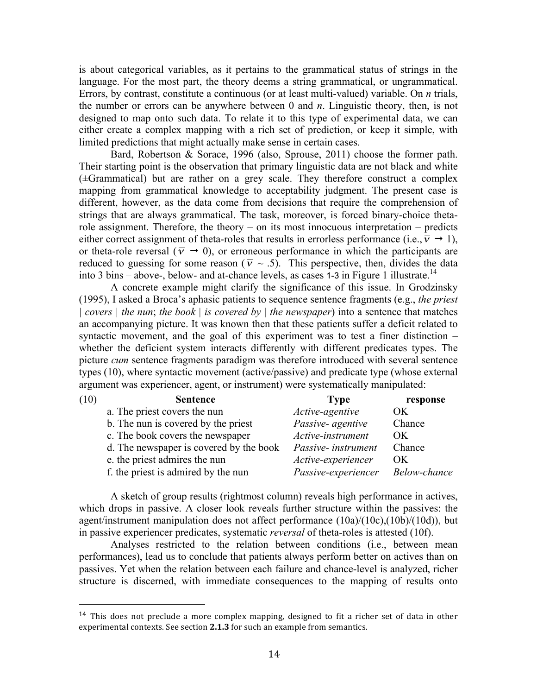is about categorical variables, as it pertains to the grammatical status of strings in the language. For the most part, the theory deems a string grammatical, or ungrammatical. Errors, by contrast, constitute a continuous (or at least multi-valued) variable. On *n* trials, the number or errors can be anywhere between 0 and *n*. Linguistic theory, then, is not designed to map onto such data. To relate it to this type of experimental data, we can either create a complex mapping with a rich set of prediction, or keep it simple, with limited predictions that might actually make sense in certain cases.

Bard, Robertson & Sorace, 1996 (also, Sprouse, 2011) choose the former path. Their starting point is the observation that primary linguistic data are not black and white (±Grammatical) but are rather on a grey scale. They therefore construct a complex mapping from grammatical knowledge to acceptability judgment. The present case is different, however, as the data come from decisions that require the comprehension of strings that are always grammatical. The task, moreover, is forced binary-choice thetarole assignment. Therefore, the theory – on its most innocuous interpretation – predicts either correct assignment of theta-roles that results in errorless performance (i.e.,  $\overline{v} \rightarrow 1$ ), or theta-role reversal ( $\overline{v} \rightarrow 0$ ), or erroneous performance in which the participants are reduced to guessing for some reason ( $\overline{v} \sim .5$ ). This perspective, then, divides the data into 3 bins – above-, below- and at-chance levels, as cases 1-3 in Figure 1 illustrate.<sup>14</sup>

A concrete example might clarify the significance of this issue. In Grodzinsky € (1995), I asked a Broca's aphasic patients to sequence sentence fragments (e.g., *the priest*  € *| covers | the nun*; *the book | is covered by | the newspaper*) into a sentence that matches an accompanying picture. It was known then that these patients suffer a deficit related to syntactic movement, and the goal of this experiment was to test a finer distinction – whether the deficient system interacts differently with different predicates types. The picture *cum* sentence fragments paradigm was therefore introduced with several sentence types (10), where syntactic movement (active/passive) and predicate type (whose external argument was experiencer, agent, or instrument) were systematically manipulated:

| (10) | <b>Sentence</b>                         | <b>Type</b>         | response     |
|------|-----------------------------------------|---------------------|--------------|
|      | a. The priest covers the nun            | Active-agentive     | OK           |
|      | b. The nun is covered by the priest     | Passive- agentive   | Chance       |
|      | c. The book covers the newspaper        | Active-instrument   | OK.          |
|      | d. The newspaper is covered by the book | Passive- instrument | Chance       |
|      | e. the priest admires the nun           | Active-experiencer  | OK           |
|      | f. the priest is admired by the nun     | Passive-experiencer | Below-chance |

A sketch of group results (rightmost column) reveals high performance in actives, which drops in passive. A closer look reveals further structure within the passives: the agent/instrument manipulation does not affect performance (10a)/(10c),(10b)/(10d)), but in passive experiencer predicates, systematic *reversal* of theta-roles is attested (10f).

Analyses restricted to the relation between conditions (i.e., between mean performances), lead us to conclude that patients always perform better on actives than on passives. Yet when the relation between each failure and chance-level is analyzed, richer structure is discerned, with immediate consequences to the mapping of results onto

<sup>&</sup>lt;sup>14</sup> This does not preclude a more complex mapping, designed to fit a richer set of data in other experimental contexts. See section 2.1.3 for such an example from semantics.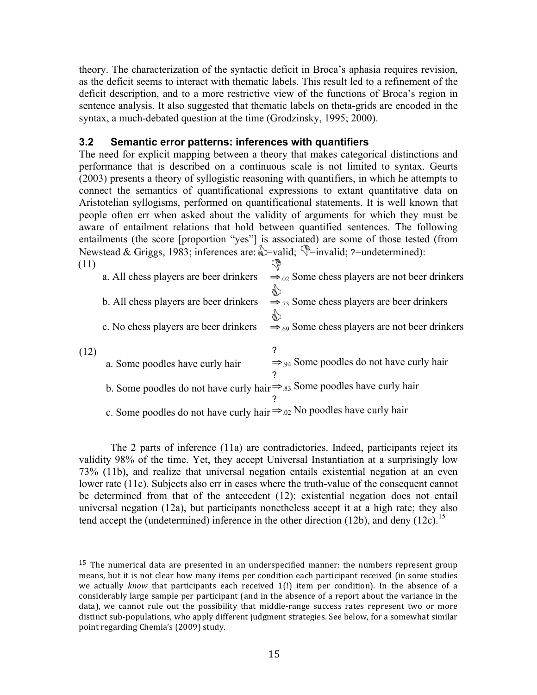theory. The characterization of the syntactic deficit in Broca's aphasia requires revision, as the deficit seems to interact with thematic labels. This result led to a refinement of the deficit description, and to a more restrictive view of the functions of Broca's region in sentence analysis. It also suggested that thematic labels on theta-grids are encoded in the syntax, a much-debated question at the time (Grodzinsky, 1995; 2000).

## **3.2 Semantic error patterns: inferences with quantifiers**

The need for explicit mapping between a theory that makes categorical distinctions and performance that is described on a continuous scale is not limited to syntax. Geurts (2003) presents a theory of syllogistic reasoning with quantifiers, in which he attempts to connect the semantics of quantificational expressions to extant quantitative data on Aristotelian syllogisms, performed on quantificational statements. It is well known that people often err when asked about the validity of arguments for which they must be aware of entailment relations that hold between quantified sentences. The following entailments (the score [proportion "yes"] is associated) are some of those tested (from Newstead & Griggs, 1983; inferences are:  $\cong$  -valid;  $\cong$  -invalid; ?-undetermined):

| (11) |                                                                                      | \$,                                                       |
|------|--------------------------------------------------------------------------------------|-----------------------------------------------------------|
|      | a. All chess players are beer drinkers                                               | $\Rightarrow$ 02 Some chess players are not beer drinkers |
|      |                                                                                      | €                                                         |
|      | b. All chess players are beer drinkers                                               | $\Rightarrow$ 73 Some chess players are beer drinkers     |
|      |                                                                                      | క్ని                                                      |
|      | c. No chess players are beer drinkers                                                | $\Rightarrow$ 69 Some chess players are not beer drinkers |
|      |                                                                                      |                                                           |
| (12) |                                                                                      | 7                                                         |
|      | a. Some poodles have curly hair                                                      | $\Rightarrow$ 94 Some poodles do not have curly hair      |
|      |                                                                                      | ?                                                         |
|      | b. Some poodles do not have curly hair $\Rightarrow$ 83 Some poodles have curly hair |                                                           |
|      |                                                                                      |                                                           |
|      | c. Some poodles do not have curly hair $\Rightarrow$ 02 No poodles have curly hair   |                                                           |

The 2 parts of inference (11a) are contradictories. Indeed, participants reject its validity 98% of the time. Yet, they accept Universal Instantiation at a surprisingly low 73% (11b), and realize that universal negation entails existential negation at an even lower rate (11c). Subjects also err in cases where the truth-value of the consequent cannot be determined from that of the antecedent (12): existential negation does not entail universal negation (12a), but participants nonetheless accept it at a high rate; they also tend accept the (undetermined) inference in the other direction (12b), and deny (12c).<sup>15</sup>

 $15$  The numerical data are presented in an underspecified manner: the numbers represent group means, but it is not clear how many items per condition each participant received (in some studies we actually *know* that participants each received 1(!) item per condition). In the absence of a considerably large sample per participant (and in the absence of a report about the variance in the data), we cannot rule out the possibility that middle-range success rates represent two or more distinct sub-populations, who apply different judgment strategies. See below, for a somewhat similar point regarding Chemla's (2009) study.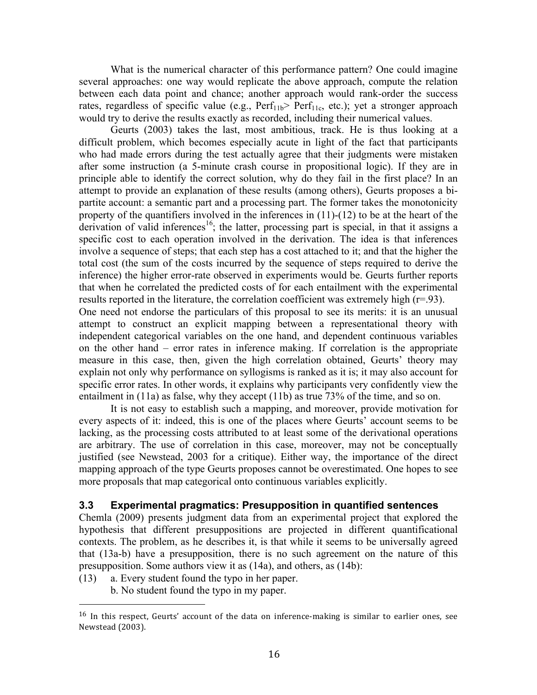What is the numerical character of this performance pattern? One could imagine several approaches: one way would replicate the above approach, compute the relation between each data point and chance; another approach would rank-order the success rates, regardless of specific value (e.g.,  $Perf<sub>11b</sub>$ )  $Perf<sub>11c</sub>$ , etc.); yet a stronger approach would try to derive the results exactly as recorded, including their numerical values.

Geurts (2003) takes the last, most ambitious, track. He is thus looking at a difficult problem, which becomes especially acute in light of the fact that participants who had made errors during the test actually agree that their judgments were mistaken after some instruction (a 5-minute crash course in propositional logic). If they are in principle able to identify the correct solution, why do they fail in the first place? In an attempt to provide an explanation of these results (among others), Geurts proposes a bipartite account: a semantic part and a processing part. The former takes the monotonicity property of the quantifiers involved in the inferences in  $(11)-(12)$  to be at the heart of the derivation of valid inferences<sup>16</sup>; the latter, processing part is special, in that it assigns a specific cost to each operation involved in the derivation. The idea is that inferences involve a sequence of steps; that each step has a cost attached to it; and that the higher the total cost (the sum of the costs incurred by the sequence of steps required to derive the inference) the higher error-rate observed in experiments would be. Geurts further reports that when he correlated the predicted costs of for each entailment with the experimental results reported in the literature, the correlation coefficient was extremely high (r=.93). One need not endorse the particulars of this proposal to see its merits: it is an unusual attempt to construct an explicit mapping between a representational theory with independent categorical variables on the one hand, and dependent continuous variables on the other hand – error rates in inference making. If correlation is the appropriate measure in this case, then, given the high correlation obtained, Geurts' theory may explain not only why performance on syllogisms is ranked as it is; it may also account for specific error rates. In other words, it explains why participants very confidently view the entailment in (11a) as false, why they accept (11b) as true 73% of the time, and so on.

It is not easy to establish such a mapping, and moreover, provide motivation for every aspects of it: indeed, this is one of the places where Geurts' account seems to be lacking, as the processing costs attributed to at least some of the derivational operations are arbitrary. The use of correlation in this case, moreover, may not be conceptually justified (see Newstead, 2003 for a critique). Either way, the importance of the direct mapping approach of the type Geurts proposes cannot be overestimated. One hopes to see more proposals that map categorical onto continuous variables explicitly.

#### **3.3 Experimental pragmatics: Presupposition in quantified sentences**

Chemla (2009) presents judgment data from an experimental project that explored the hypothesis that different presuppositions are projected in different quantificational contexts. The problem, as he describes it, is that while it seems to be universally agreed that (13a-b) have a presupposition, there is no such agreement on the nature of this presupposition. Some authors view it as (14a), and others, as (14b):

- (13) a. Every student found the typo in her paper.
	- b. No student found the typo in my paper.

 $16$  In this respect, Geurts' account of the data on inference-making is similar to earlier ones, see Newstead (2003).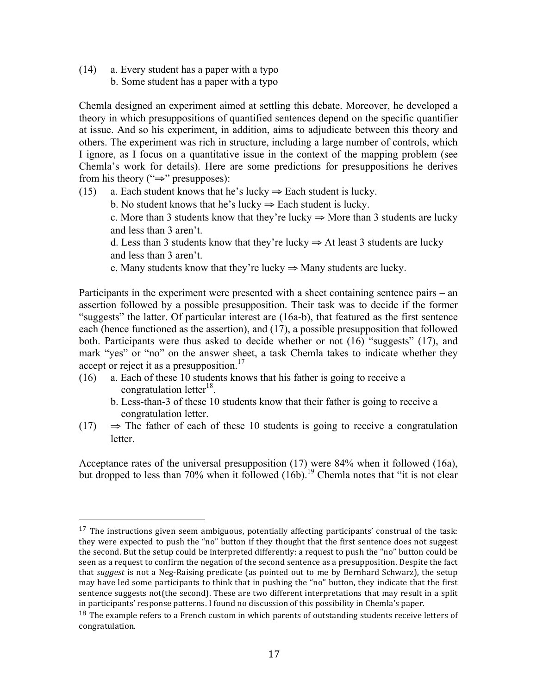(14) a. Every student has a paper with a typo b. Some student has a paper with a typo

 

Chemla designed an experiment aimed at settling this debate. Moreover, he developed a theory in which presuppositions of quantified sentences depend on the specific quantifier at issue. And so his experiment, in addition, aims to adjudicate between this theory and others. The experiment was rich in structure, including a large number of controls, which I ignore, as I focus on a quantitative issue in the context of the mapping problem (see Chemla's work for details). Here are some predictions for presuppositions he derives from his theory ("⇒" presupposes):

- (15) a. Each student knows that he's lucky  $\Rightarrow$  Each student is lucky.
	- b. No student knows that he's lucky  $\Rightarrow$  Each student is lucky.

c. More than 3 students know that they're lucky  $\Rightarrow$  More than 3 students are lucky and less than 3 aren't.

d. Less than 3 students know that they're lucky  $\Rightarrow$  At least 3 students are lucky and less than 3 aren't.

e. Many students know that they're lucky  $\Rightarrow$  Many students are lucky.

Participants in the experiment were presented with a sheet containing sentence pairs – an assertion followed by a possible presupposition. Their task was to decide if the former "suggests" the latter. Of particular interest are (16a-b), that featured as the first sentence each (hence functioned as the assertion), and (17), a possible presupposition that followed both. Participants were thus asked to decide whether or not (16) "suggests" (17), and mark "yes" or "no" on the answer sheet, a task Chemla takes to indicate whether they accept or reject it as a presupposition.<sup>17</sup>

- (16) a. Each of these 10 students knows that his father is going to receive a congratulation letter<sup>18</sup>.
	- b. Less-than-3 of these 10 students know that their father is going to receive a congratulation letter.
- (17)  $\Rightarrow$  The father of each of these 10 students is going to receive a congratulation letter.

Acceptance rates of the universal presupposition (17) were 84% when it followed (16a), but dropped to less than 70% when it followed  $(16b)$ .<sup>19</sup> Chemla notes that "it is not clear"

 $17$  The instructions given seem ambiguous, potentially affecting participants' construal of the task: they were expected to push the "no" button if they thought that the first sentence does not suggest the second. But the setup could be interpreted differently: a request to push the "no" button could be seen as a request to confirm the negation of the second sentence as a presupposition. Despite the fact that *suggest* is not a Neg-Raising predicate (as pointed out to me by Bernhard Schwarz), the setup may have led some participants to think that in pushing the "no" button, they indicate that the first sentence suggests not(the second). These are two different interpretations that may result in a split in participants' response patterns. I found no discussion of this possibility in Chemla's paper.

 $^{18}$  The example refers to a French custom in which parents of outstanding students receive letters of congratulation.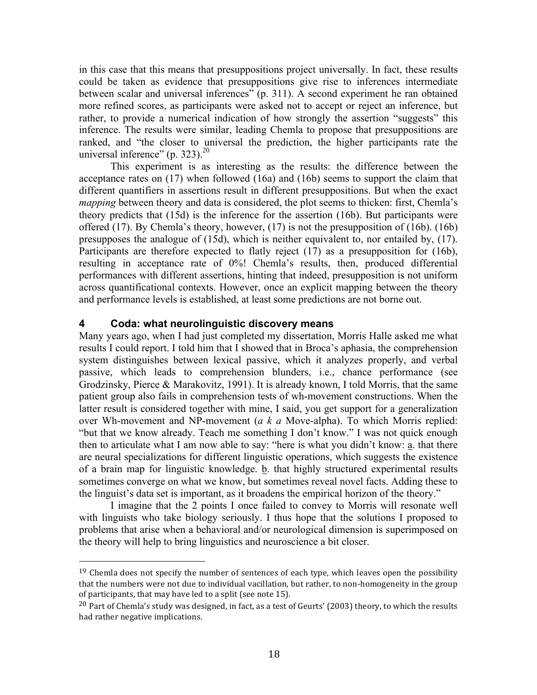in this case that this means that presuppositions project universally. In fact, these results could be taken as evidence that presuppositions give rise to inferences intermediate between scalar and universal inferences" (p. 311). A second experiment he ran obtained more refined scores, as participants were asked not to accept or reject an inference, but rather, to provide a numerical indication of how strongly the assertion "suggests" this inference. The results were similar, leading Chemla to propose that presuppositions are ranked, and "the closer to universal the prediction, the higher participants rate the universal inference" (p. 323). $^{20}$ 

This experiment is as interesting as the results: the difference between the acceptance rates on (17) when followed (16a) and (16b) seems to support the claim that different quantifiers in assertions result in different presuppositions. But when the exact *mapping* between theory and data is considered, the plot seems to thicken: first, Chemla's theory predicts that (15d) is the inference for the assertion (16b). But participants were offered (17). By Chemla's theory, however, (17) is not the presupposition of (16b). (16b) presupposes the analogue of (15d), which is neither equivalent to, nor entailed by, (17). Participants are therefore expected to flatly reject (17) as a presupposition for (16b), resulting in acceptance rate of 0%! Chemla's results, then, produced differential performances with different assertions, hinting that indeed, presupposition is not uniform across quantificational contexts. However, once an explicit mapping between the theory and performance levels is established, at least some predictions are not borne out.

## **4 Coda: what neurolinguistic discovery means**

 

Many years ago, when I had just completed my dissertation, Morris Halle asked me what results I could report. I told him that I showed that in Broca's aphasia, the comprehension system distinguishes between lexical passive, which it analyzes properly, and verbal passive, which leads to comprehension blunders, i.e., chance performance (see Grodzinsky, Pierce & Marakovitz, 1991). It is already known, I told Morris, that the same patient group also fails in comprehension tests of wh-movement constructions. When the latter result is considered together with mine, I said, you get support for a generalization over Wh-movement and NP-movement (*a k a* Move-alpha). To which Morris replied: "but that we know already. Teach me something I don't know." I was not quick enough then to articulate what I am now able to say: "here is what you didn't know: a. that there are neural specializations for different linguistic operations, which suggests the existence of a brain map for linguistic knowledge. b. that highly structured experimental results sometimes converge on what we know, but sometimes reveal novel facts. Adding these to the linguist's data set is important, as it broadens the empirical horizon of the theory."

I imagine that the 2 points I once failed to convey to Morris will resonate well with linguists who take biology seriously. I thus hope that the solutions I proposed to problems that arise when a behavioral and/or neurological dimension is superimposed on the theory will help to bring linguistics and neuroscience a bit closer.

 $19$  Chemla does not specify the number of sentences of each type, which leaves open the possibility that the numbers were not due to individual vacillation, but rather, to non-homogeneity in the group of participants, that may have led to a split (see note 15).

<sup>&</sup>lt;sup>20</sup> Part of Chemla's study was designed, in fact, as a test of Geurts' (2003) theory, to which the results had rather negative implications.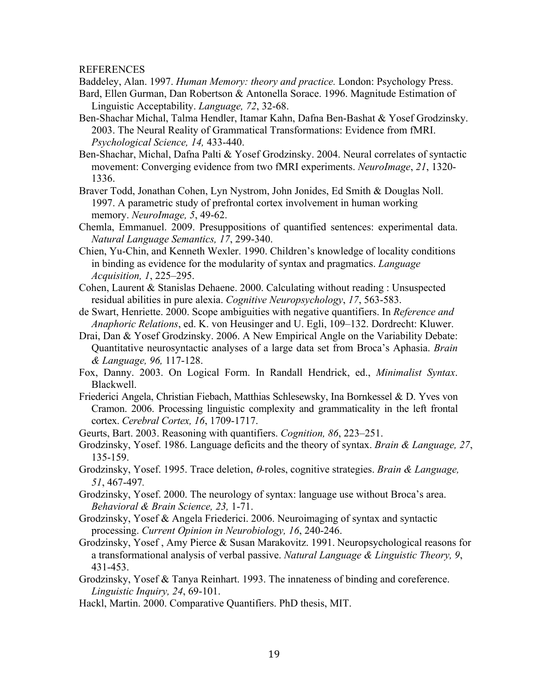REFERENCES

Baddeley, Alan. 1997. *Human Memory: theory and practice.* London: Psychology Press.

- Bard, Ellen Gurman, Dan Robertson & Antonella Sorace. 1996. Magnitude Estimation of Linguistic Acceptability. *Language, 72*, 32-68.
- Ben-Shachar Michal, Talma Hendler, Itamar Kahn, Dafna Ben-Bashat & Yosef Grodzinsky. 2003. The Neural Reality of Grammatical Transformations: Evidence from fMRI. *Psychological Science, 14,* 433-440.
- Ben-Shachar, Michal, Dafna Palti & Yosef Grodzinsky. 2004. Neural correlates of syntactic movement: Converging evidence from two fMRI experiments. *NeuroImage*, *21*, 1320- 1336.
- Braver Todd, Jonathan Cohen, Lyn Nystrom, John Jonides, Ed Smith & Douglas Noll. 1997. A parametric study of prefrontal cortex involvement in human working memory. *NeuroImage, 5*, 49-62.
- Chemla, Emmanuel. 2009. Presuppositions of quantified sentences: experimental data. *Natural Language Semantics, 17*, 299-340.
- Chien, Yu-Chin, and Kenneth Wexler. 1990. Children's knowledge of locality conditions in binding as evidence for the modularity of syntax and pragmatics. *Language Acquisition, 1*, 225–295.
- Cohen, Laurent & Stanislas Dehaene. 2000. Calculating without reading : Unsuspected residual abilities in pure alexia. *Cognitive Neuropsychology*, *17*, 563-583.
- de Swart, Henriette. 2000. Scope ambiguities with negative quantifiers. In *Reference and Anaphoric Relations*, ed. K. von Heusinger and U. Egli, 109–132. Dordrecht: Kluwer.
- Drai, Dan & Yosef Grodzinsky. 2006. A New Empirical Angle on the Variability Debate: Quantitative neurosyntactic analyses of a large data set from Broca's Aphasia. *Brain & Language, 96,* 117-128.
- Fox, Danny. 2003. On Logical Form. In Randall Hendrick, ed., *Minimalist Syntax*. Blackwell.
- Friederici Angela, Christian Fiebach, Matthias Schlesewsky, Ina Bornkessel & D. Yves von Cramon. 2006. Processing linguistic complexity and grammaticality in the left frontal cortex. *Cerebral Cortex, 16*, 1709-1717.
- Geurts, Bart. 2003. Reasoning with quantifiers. *Cognition, 86*, 223–251.
- Grodzinsky, Yosef. 1986. Language deficits and the theory of syntax. *Brain & Language, 27*, 135-159.
- Grodzinsky, Yosef. 1995. Trace deletion, θ*-*roles, cognitive strategies. *Brain & Language, 51*, 467-497*.*
- Grodzinsky, Yosef. 2000. The neurology of syntax: language use without Broca's area. *Behavioral & Brain Science, 23,* 1-71.
- Grodzinsky, Yosef & Angela Friederici. 2006. Neuroimaging of syntax and syntactic processing. *Current Opinion in Neurobiology, 16*, 240-246.
- Grodzinsky, Yosef , Amy Pierce & Susan Marakovitz. 1991. Neuropsychological reasons for a transformational analysis of verbal passive. *Natural Language & Linguistic Theory, 9*, 431-453.
- Grodzinsky, Yosef & Tanya Reinhart. 1993. The innateness of binding and coreference. *Linguistic Inquiry, 24*, 69-101.
- Hackl, Martin. 2000. Comparative Quantifiers. PhD thesis, MIT.